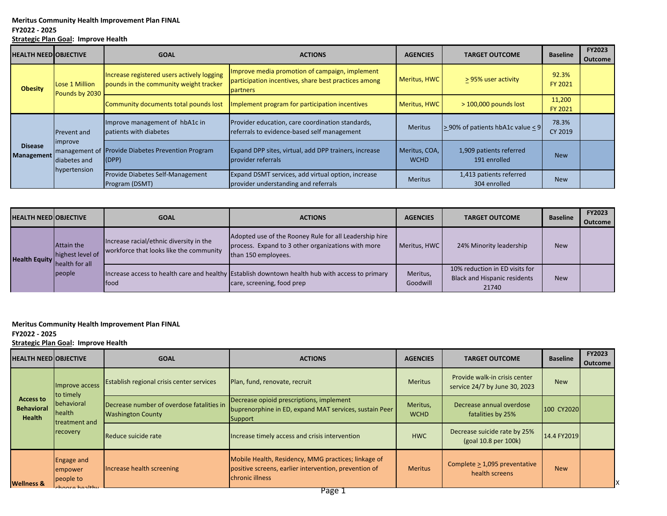## **FY2022 - 2025**

**Strategic Plan Goal: Improve Health**

|  | <b>HEALTH NEEDIOBJECTIVE</b>        |                                                        | <b>GOAL</b>                                                                          | <b>ACTIONS</b>                                                                                                            | <b>AGENCIES</b>              | <b>TARGET OUTCOME</b>                    | <b>Baseline</b>   | <b>FY2023</b><br><b>Outcome</b> |
|--|-------------------------------------|--------------------------------------------------------|--------------------------------------------------------------------------------------|---------------------------------------------------------------------------------------------------------------------------|------------------------------|------------------------------------------|-------------------|---------------------------------|
|  | <b>Obesity</b>                      | Lose 1 Million<br>Pounds by 2030                       | Increase registered users actively logging<br>pounds in the community weight tracker | Improve media promotion of campaign, implement<br>participation incentives, share best practices among<br><b>partners</b> | Meritus, HWC                 | > 95% user activity                      | 92.3%<br>FY 2021  |                                 |
|  |                                     |                                                        | Community documents total pounds lost                                                | Implement program for participation incentives                                                                            | Meritus, HWC                 | $>$ 100,000 pounds lost                  | 11,200<br>FY 2021 |                                 |
|  | <b>Disease</b><br><b>Management</b> | Prevent and<br>improve<br>diabetes and<br>hypertension | Improve management of hbA1c in<br>patients with diabetes                             | Provider education, care coordination standards,<br>referrals to evidence-based self management                           | <b>Meritus</b>               | $>$ 90% of patients hbA1c value $\leq$ 9 | 78.3%<br>CY 2019  |                                 |
|  |                                     |                                                        | management of Provide Diabetes Prevention Program<br>(DPP)                           | Expand DPP sites, virtual, add DPP trainers, increase<br>provider referrals                                               | Meritus, COA,<br><b>WCHD</b> | 1,909 patients referred<br>191 enrolled  | <b>New</b>        |                                 |
|  |                                     |                                                        | Provide Diabetes Self-Management<br>Program (DSMT)                                   | Expand DSMT services, add virtual option, increase<br>provider understanding and referrals                                | <b>Meritus</b>               | 1,413 patients referred<br>304 enrolled  | <b>New</b>        |                                 |

|  | <b>HEALTH NEED OBJECTIVE</b> |                                                                          | <b>GOAL</b>                                                                        | <b>ACTIONS</b>                                                                                                                      | <b>AGENCIES</b>      | <b>TARGET OUTCOME</b>                                                          | <b>Baseline</b> | <b>FY2023</b><br><b>Outcome</b> |
|--|------------------------------|--------------------------------------------------------------------------|------------------------------------------------------------------------------------|-------------------------------------------------------------------------------------------------------------------------------------|----------------------|--------------------------------------------------------------------------------|-----------------|---------------------------------|
|  |                              | Attain the<br>highest level of<br>Health Equity health for all<br>people | Increase racial/ethnic diversity in the<br>workforce that looks like the community | Adopted use of the Rooney Rule for all Leadership hire<br>process. Expand to 3 other organizations with more<br>than 150 employees. | Meritus, HWC         | 24% Minority leadership                                                        | <b>New</b>      |                                 |
|  |                              |                                                                          | <b>food</b>                                                                        | Increase access to health care and healthy Establish downtown health hub with access to primary<br>care, screening, food prep       | Meritus,<br>Goodwill | 10% reduction in ED visits for<br><b>Black and Hispanic residents</b><br>21740 | <b>New</b>      |                                 |

**Meritus Community Health Improvement Plan FINAL** 

**FY2022 - 2025**

**Strategic Plan Goal: Improve Health**

| <b>HEALTH NEED OBJECTIVE</b>                    |                                                                                   | <b>GOAL</b>                                                           | <b>ACTIONS</b>                                                                                                                  | <b>AGENCIES</b>         | <b>TARGET OUTCOME</b>                                          | <b>Baseline</b> | <b>FY2023</b><br><b>Outcome</b> |
|-------------------------------------------------|-----------------------------------------------------------------------------------|-----------------------------------------------------------------------|---------------------------------------------------------------------------------------------------------------------------------|-------------------------|----------------------------------------------------------------|-----------------|---------------------------------|
|                                                 | Improve access<br>to timely<br>behavioral<br>health<br>Itreatment and<br>recovery | <b>Establish regional crisis center services</b>                      | Plan, fund, renovate, recruit                                                                                                   | <b>Meritus</b>          | Provide walk-in crisis center<br>service 24/7 by June 30, 2023 | <b>New</b>      |                                 |
| Access to<br><b>Behavioral</b><br><b>Health</b> |                                                                                   | Decrease number of overdose fatalities in<br><b>Washington County</b> | Decrease opioid prescriptions, implement<br>buprenorphine in ED, expand MAT services, sustain Peer<br>Support                   | Meritus,<br><b>WCHD</b> | Decrease annual overdose<br>fatalities by 25%                  | 100 CY2020      |                                 |
|                                                 |                                                                                   | Reduce suicide rate                                                   | Increase timely access and crisis intervention                                                                                  | <b>HWC</b>              | Decrease suicide rate by 25%<br>(goal 10.8 per 100k)           | 14.4 FY2019     |                                 |
| <b>Wellness &amp;</b>                           | Engage and<br><b>empower</b><br>people to<br>hooce hoolthy                        | Increase health screening                                             | Mobile Health, Residency, MMG practices; linkage of<br>positive screens, earlier intervention, prevention of<br>chronic illness | <b>Meritus</b>          | Complete $\geq$ 1,095 preventative<br>health screens           | <b>New</b>      |                                 |